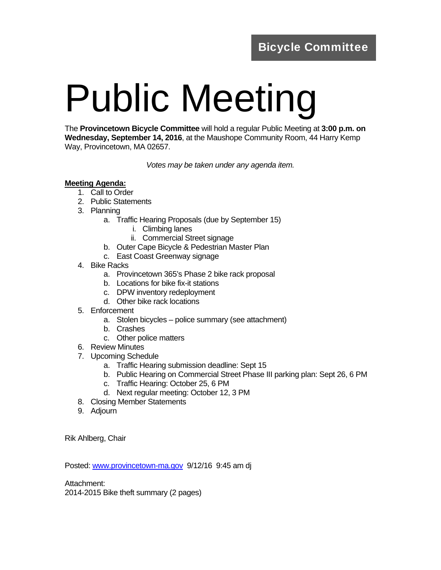## Public Meeting

The **Provincetown Bicycle Committee** will hold a regular Public Meeting at **3:00 p.m. on Wednesday, September 14, 2016**, at the Maushope Community Room, 44 Harry Kemp Way, Provincetown, MA 02657.

*Votes may be taken under any agenda item.* 

## **Meeting Agenda:**

- 1. Call to Order
- 2. Public Statements
- 3. Planning
	- a. Traffic Hearing Proposals (due by September 15)
		- i. Climbing lanes
		- ii. Commercial Street signage
	- b. Outer Cape Bicycle & Pedestrian Master Plan
	- c. East Coast Greenway signage
- 4. Bike Racks
	- a. Provincetown 365's Phase 2 bike rack proposal
	- b. Locations for bike fix-it stations
	- c. DPW inventory redeployment
	- d. Other bike rack locations
- 5. Enforcement
	- a. Stolen bicycles police summary (see attachment)
	- b. Crashes
	- c. Other police matters
- 6. Review Minutes
- 7. Upcoming Schedule
	- a. Traffic Hearing submission deadline: Sept 15
	- b. Public Hearing on Commercial Street Phase III parking plan: Sept 26, 6 PM
	- c. Traffic Hearing: October 25, 6 PM
	- d. Next regular meeting: October 12, 3 PM
- 8. Closing Member Statements
- 9. Adjourn

Rik Ahlberg, Chair

Posted: www.provincetown-ma.gov 9/12/16 9:45 am dj

Attachment:

2014-2015 Bike theft summary (2 pages)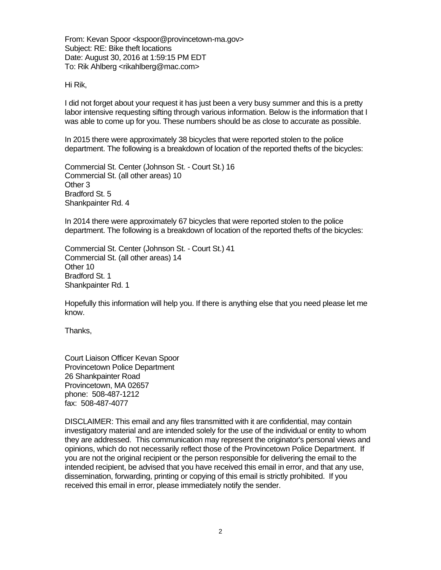From: Kevan Spoor <kspoor@provincetown-ma.gov> Subject: RE: Bike theft locations Date: August 30, 2016 at 1:59:15 PM EDT To: Rik Ahlberg <rikahlberg@mac.com>

Hi Rik,

I did not forget about your request it has just been a very busy summer and this is a pretty labor intensive requesting sifting through various information. Below is the information that I was able to come up for you. These numbers should be as close to accurate as possible.

In 2015 there were approximately 38 bicycles that were reported stolen to the police department. The following is a breakdown of location of the reported thefts of the bicycles:

Commercial St. Center (Johnson St. - Court St.) 16 Commercial St. (all other areas) 10 Other 3 Bradford St. 5 Shankpainter Rd. 4

In 2014 there were approximately 67 bicycles that were reported stolen to the police department. The following is a breakdown of location of the reported thefts of the bicycles:

Commercial St. Center (Johnson St. - Court St.) 41 Commercial St. (all other areas) 14 Other 10 Bradford St. 1 Shankpainter Rd. 1

Hopefully this information will help you. If there is anything else that you need please let me know.

Thanks,

Court Liaison Officer Kevan Spoor Provincetown Police Department 26 Shankpainter Road Provincetown, MA 02657 phone: 508-487-1212 fax: 508-487-4077

DISCLAIMER: This email and any files transmitted with it are confidential, may contain investigatory material and are intended solely for the use of the individual or entity to whom they are addressed. This communication may represent the originator's personal views and opinions, which do not necessarily reflect those of the Provincetown Police Department. If you are not the original recipient or the person responsible for delivering the email to the intended recipient, be advised that you have received this email in error, and that any use, dissemination, forwarding, printing or copying of this email is strictly prohibited. If you received this email in error, please immediately notify the sender.